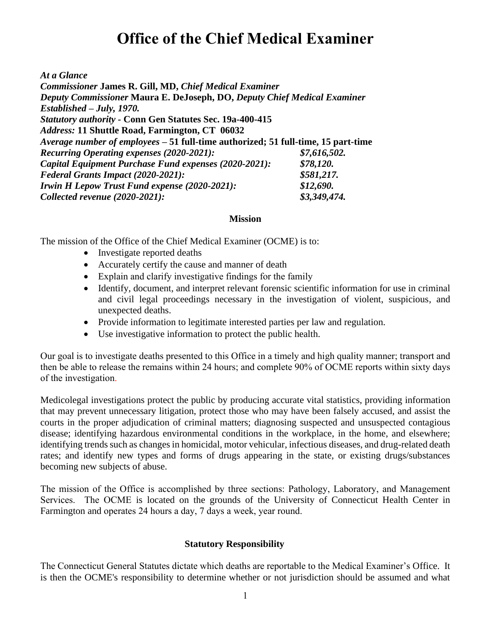# **Office of the Chief Medical Examiner**

*At a Glance*

*Commissioner* **James R. Gill, MD,** *Chief Medical Examiner Deputy Commissioner* **Maura E. DeJoseph, DO,** *Deputy Chief Medical Examiner Established – July, 1970. Statutory authority -* **Conn Gen Statutes Sec. 19a-400-415** *Address:* **11 Shuttle Road, Farmington, CT 06032** *Average number of employees –* **51 full-time authorized; 51 full-time, 15 part-time** *Recurring Operating expenses (2020-2021): \$7,616,502. Capital Equipment Purchase Fund expenses (2020-2021): \$78,120. Federal Grants Impact (2020-2021): \$581,217. Irwin H Lepow Trust Fund expense (2020-2021): \$12,690. Collected revenue (2020-2021): \$3,349,474.*

#### **Mission**

The mission of the Office of the Chief Medical Examiner (OCME) is to:

- Investigate reported deaths
- Accurately certify the cause and manner of death
- Explain and clarify investigative findings for the family
- Identify, document, and interpret relevant forensic scientific information for use in criminal and civil legal proceedings necessary in the investigation of violent, suspicious, and unexpected deaths.
- Provide information to legitimate interested parties per law and regulation.
- Use investigative information to protect the public health.

Our goal is to investigate deaths presented to this Office in a timely and high quality manner; transport and then be able to release the remains within 24 hours; and complete 90% of OCME reports within sixty days of the investigation.

Medicolegal investigations protect the public by producing accurate vital statistics, providing information that may prevent unnecessary litigation, protect those who may have been falsely accused, and assist the courts in the proper adjudication of criminal matters; diagnosing suspected and unsuspected contagious disease; identifying hazardous environmental conditions in the workplace, in the home, and elsewhere; identifying trends such as changes in homicidal, motor vehicular, infectious diseases, and drug-related death rates; and identify new types and forms of drugs appearing in the state, or existing drugs/substances becoming new subjects of abuse.

The mission of the Office is accomplished by three sections: Pathology, Laboratory, and Management Services. The OCME is located on the grounds of the University of Connecticut Health Center in Farmington and operates 24 hours a day, 7 days a week, year round.

#### **Statutory Responsibility**

The Connecticut General Statutes dictate which deaths are reportable to the Medical Examiner's Office. It is then the OCME's responsibility to determine whether or not jurisdiction should be assumed and what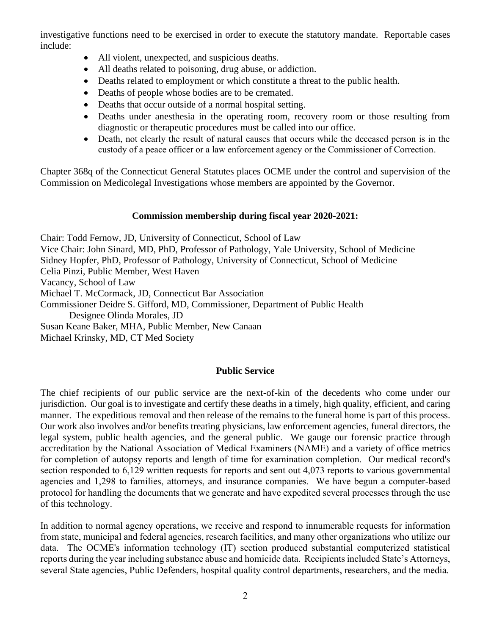investigative functions need to be exercised in order to execute the statutory mandate. Reportable cases include:

- All violent, unexpected, and suspicious deaths.
- All deaths related to poisoning, drug abuse, or addiction.
- Deaths related to employment or which constitute a threat to the public health.
- Deaths of people whose bodies are to be cremated.
- Deaths that occur outside of a normal hospital setting.
- Deaths under anesthesia in the operating room, recovery room or those resulting from diagnostic or therapeutic procedures must be called into our office.
- Death, not clearly the result of natural causes that occurs while the deceased person is in the custody of a peace officer or a law enforcement agency or the Commissioner of Correction.

Chapter 368q of the Connecticut General Statutes places OCME under the control and supervision of the Commission on Medicolegal Investigations whose members are appointed by the Governor.

# **Commission membership during fiscal year 2020-2021:**

Chair: Todd Fernow, JD, University of Connecticut, School of Law Vice Chair: John Sinard, MD, PhD, Professor of Pathology, Yale University, School of Medicine Sidney Hopfer, PhD, Professor of Pathology, University of Connecticut, School of Medicine Celia Pinzi, Public Member, West Haven Vacancy, School of Law Michael T. McCormack, JD, Connecticut Bar Association Commissioner Deidre S. Gifford, MD, Commissioner, Department of Public Health Designee Olinda Morales, JD Susan Keane Baker, MHA, Public Member, New Canaan Michael Krinsky, MD, CT Med Society

## **Public Service**

The chief recipients of our public service are the next-of-kin of the decedents who come under our jurisdiction. Our goal is to investigate and certify these deaths in a timely, high quality, efficient, and caring manner. The expeditious removal and then release of the remains to the funeral home is part of this process. Our work also involves and/or benefits treating physicians, law enforcement agencies, funeral directors, the legal system, public health agencies, and the general public. We gauge our forensic practice through accreditation by the National Association of Medical Examiners (NAME) and a variety of office metrics for completion of autopsy reports and length of time for examination completion. Our medical record's section responded to 6,129 written requests for reports and sent out 4,073 reports to various governmental agencies and 1,298 to families, attorneys, and insurance companies. We have begun a computer-based protocol for handling the documents that we generate and have expedited several processes through the use of this technology.

In addition to normal agency operations, we receive and respond to innumerable requests for information from state, municipal and federal agencies, research facilities, and many other organizations who utilize our data. The OCME's information technology (IT) section produced substantial computerized statistical reports during the year including substance abuse and homicide data. Recipients included State's Attorneys, several State agencies, Public Defenders, hospital quality control departments, researchers, and the media.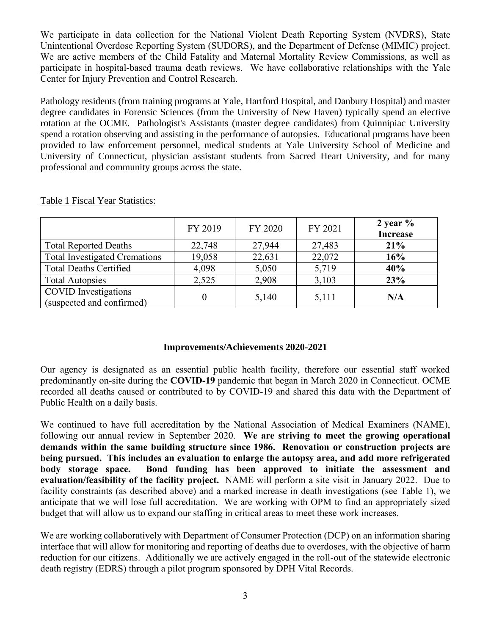We participate in data collection for the National Violent Death Reporting System (NVDRS), State Unintentional Overdose Reporting System (SUDORS), and the Department of Defense (MIMIC) project. We are active members of the Child Fatality and Maternal Mortality Review Commissions, as well as participate in hospital-based trauma death reviews. We have collaborative relationships with the Yale Center for Injury Prevention and Control Research.

Pathology residents (from training programs at Yale, Hartford Hospital, and Danbury Hospital) and master degree candidates in Forensic Sciences (from the University of New Haven) typically spend an elective rotation at the OCME. Pathologist's Assistants (master degree candidates) from Quinnipiac University spend a rotation observing and assisting in the performance of autopsies. Educational programs have been provided to law enforcement personnel, medical students at Yale University School of Medicine and University of Connecticut, physician assistant students from Sacred Heart University, and for many professional and community groups across the state.

|                                                          | FY 2019 | FY 2020 | FY 2021 | 2 year $%$<br><b>Increase</b> |
|----------------------------------------------------------|---------|---------|---------|-------------------------------|
| <b>Total Reported Deaths</b>                             | 22,748  | 27,944  | 27,483  | 21%                           |
| <b>Total Investigated Cremations</b>                     | 19,058  | 22,631  | 22,072  | 16%                           |
| <b>Total Deaths Certified</b>                            | 4,098   | 5,050   | 5,719   | 40%                           |
| <b>Total Autopsies</b>                                   | 2,525   | 2,908   | 3,103   | 23%                           |
| <b>COVID</b> Investigations<br>(suspected and confirmed) |         | 5,140   | 5,111   | N/A                           |

Table 1 Fiscal Year Statistics:

### **Improvements/Achievements 2020-2021**

Our agency is designated as an essential public health facility, therefore our essential staff worked predominantly on-site during the **COVID-19** pandemic that began in March 2020 in Connecticut. OCME recorded all deaths caused or contributed to by COVID-19 and shared this data with the Department of Public Health on a daily basis.

We continued to have full accreditation by the National Association of Medical Examiners (NAME), following our annual review in September 2020. **We are striving to meet the growing operational demands within the same building structure since 1986. Renovation or construction projects are being pursued. This includes an evaluation to enlarge the autopsy area, and add more refrigerated body storage space. Bond funding has been approved to initiate the assessment and evaluation/feasibility of the facility project.** NAME will perform a site visit in January 2022. Due to facility constraints (as described above) and a marked increase in death investigations (see Table 1), we anticipate that we will lose full accreditation. We are working with OPM to find an appropriately sized budget that will allow us to expand our staffing in critical areas to meet these work increases.

We are working collaboratively with Department of Consumer Protection (DCP) on an information sharing interface that will allow for monitoring and reporting of deaths due to overdoses, with the objective of harm reduction for our citizens. Additionally we are actively engaged in the roll-out of the statewide electronic death registry (EDRS) through a pilot program sponsored by DPH Vital Records.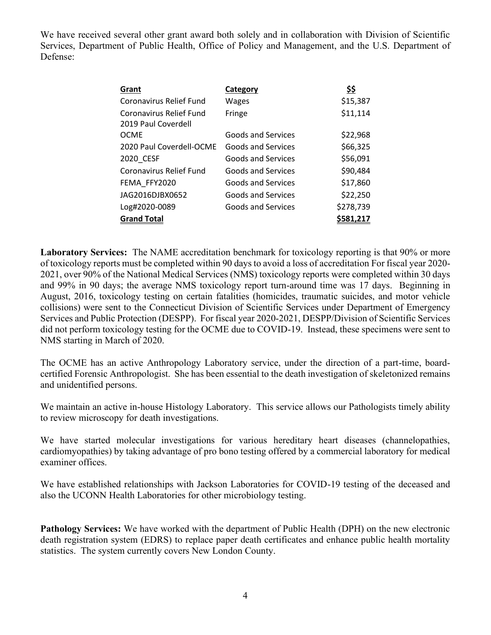We have received several other grant award both solely and in collaboration with Division of Scientific Services, Department of Public Health, Office of Policy and Management, and the U.S. Department of Defense:

| Grant                          | Category           | \$\$      |
|--------------------------------|--------------------|-----------|
| <b>Coronavirus Relief Fund</b> | Wages              | \$15,387  |
| <b>Coronavirus Relief Fund</b> | Fringe             | \$11,114  |
| 2019 Paul Coverdell            |                    |           |
| <b>OCME</b>                    | Goods and Services | \$22,968  |
| 2020 Paul Coverdell-OCME       | Goods and Services | \$66,325  |
| 2020 CESF                      | Goods and Services | \$56,091  |
| Coronavirus Relief Fund        | Goods and Services | \$90,484  |
| FEMA FFY2020                   | Goods and Services | \$17,860  |
| JAG2016DJBX0652                | Goods and Services | \$22,250  |
| Log#2020-0089                  | Goods and Services | \$278,739 |
| <b>Grand Total</b>             |                    |           |

**Laboratory Services:** The NAME accreditation benchmark for toxicology reporting is that 90% or more of toxicology reports must be completed within 90 days to avoid a loss of accreditation For fiscal year 2020- 2021, over 90% of the National Medical Services (NMS) toxicology reports were completed within 30 days and 99% in 90 days; the average NMS toxicology report turn-around time was 17 days. Beginning in August, 2016, toxicology testing on certain fatalities (homicides, traumatic suicides, and motor vehicle collisions) were sent to the Connecticut Division of Scientific Services under Department of Emergency Services and Public Protection (DESPP). For fiscal year 2020-2021, DESPP/Division of Scientific Services did not perform toxicology testing for the OCME due to COVID-19. Instead, these specimens were sent to NMS starting in March of 2020.

The OCME has an active Anthropology Laboratory service, under the direction of a part-time, boardcertified Forensic Anthropologist. She has been essential to the death investigation of skeletonized remains and unidentified persons.

We maintain an active in-house Histology Laboratory. This service allows our Pathologists timely ability to review microscopy for death investigations.

We have started molecular investigations for various hereditary heart diseases (channelopathies, cardiomyopathies) by taking advantage of pro bono testing offered by a commercial laboratory for medical examiner offices.

We have established relationships with Jackson Laboratories for COVID-19 testing of the deceased and also the UCONN Health Laboratories for other microbiology testing.

**Pathology Services:** We have worked with the department of Public Health (DPH) on the new electronic death registration system (EDRS) to replace paper death certificates and enhance public health mortality statistics. The system currently covers New London County.